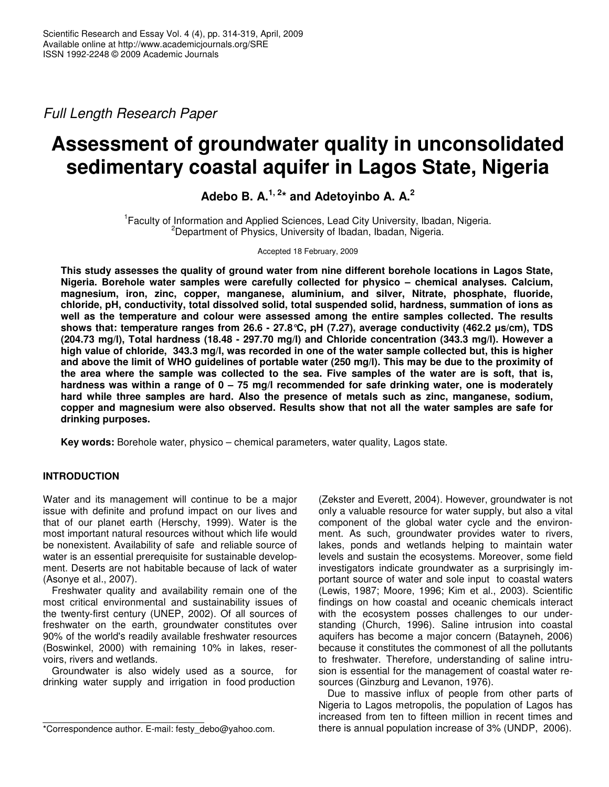*Full Length Research Paper*

# **Assessment of groundwater quality in unconsolidated sedimentary coastal aquifer in Lagos State, Nigeria**

**Adebo B. A. 1, 2 \* and Adetoyinbo A. A. 2**

<sup>1</sup> Faculty of Information and Applied Sciences, Lead City University, Ibadan, Nigeria. <sup>2</sup>Department of Physics, University of Ibadan, Ibadan, Nigeria.

Accepted 18 February, 2009

**This study assesses the quality of ground water from nine different borehole locations in Lagos State, Nigeria. Borehole water samples were carefully collected for physico – chemical analyses. Calcium, magnesium, iron, zinc, copper, manganese, aluminium, and silver, Nitrate, phosphate, fluoride, chloride, pH, conductivity, total dissolved solid, total suspended solid, hardness, summation of ions as well as the temperature and colour were assessed among the entire samples collected. The results shows that: temperature ranges from 26.6 - 27.8°C, pH (7.27), average conductivity (462.2 s/cm), TDS (204.73 mg/l), Total hardness (18.48 - 297.70 mg/l) and Chloride concentration (343.3 mg/l). However a** high value of chloride, 343.3 mg/l, was recorded in one of the water sample collected but, this is higher and above the limit of WHO guidelines of portable water (250 mg/l). This may be due to the proximity of the area where the sample was collected to the sea. Five samples of the water are is soft, that is, **hardness was within a range of 0 – 75 mg/l recommended for safe drinking water, one is moderately hard while three samples are hard. Also the presence of metals such as zinc, manganese, sodium, copper and magnesium were also observed. Results show that not all the water samples are safe for drinking purposes.**

**Key words:** Borehole water, physico – chemical parameters, water quality, Lagos state.

# **INTRODUCTION**

Water and its management will continue to be a major issue with definite and profund impact on our lives and that of our planet earth (Herschy, 1999). Water is the most important natural resources without which life would be nonexistent. Availability of safe and reliable source of water is an essential prerequisite for sustainable development. Deserts are not habitable because of lack of water (Asonye et al., 2007).

Freshwater quality and availability remain one of the most critical environmental and sustainability issues of the twenty-first century (UNEP, 2002). Of all sources of freshwater on the earth, groundwater constitutes over 90% of the world's readily available freshwater resources (Boswinkel, 2000) with remaining 10% in lakes, reservoirs, rivers and wetlands.

Groundwater is also widely used as a source, for drinking water supply and irrigation in food production

(Zekster and Everett, 2004). However, groundwater is not only a valuable resource for water supply, but also a vital component of the global water cycle and the environment. As such, groundwater provides water to rivers, lakes, ponds and wetlands helping to maintain water levels and sustain the ecosystems. Moreover, some field investigators indicate groundwater as a surprisingly important source of water and sole input to coastal waters (Lewis, 1987; Moore, 1996; Kim et al., 2003). Scientific findings on how coastal and oceanic chemicals interact with the ecosystem posses challenges to our understanding (Church, 1996). Saline intrusion into coastal aquifers has become a major concern (Batayneh, 2006) because it constitutes the commonest of all the pollutants to freshwater. Therefore, understanding of saline intrusion is essential for the management of coastal water resources (Ginzburg and Levanon, 1976).

Due to massive influx of people from other parts of Nigeria to Lagos metropolis, the population of Lagos has increased from ten to fifteen million in recent times and there is annual population increase of 3% (UNDP, 2006).

<sup>\*</sup>Correspondence author. E-mail: festy\_debo@yahoo.com.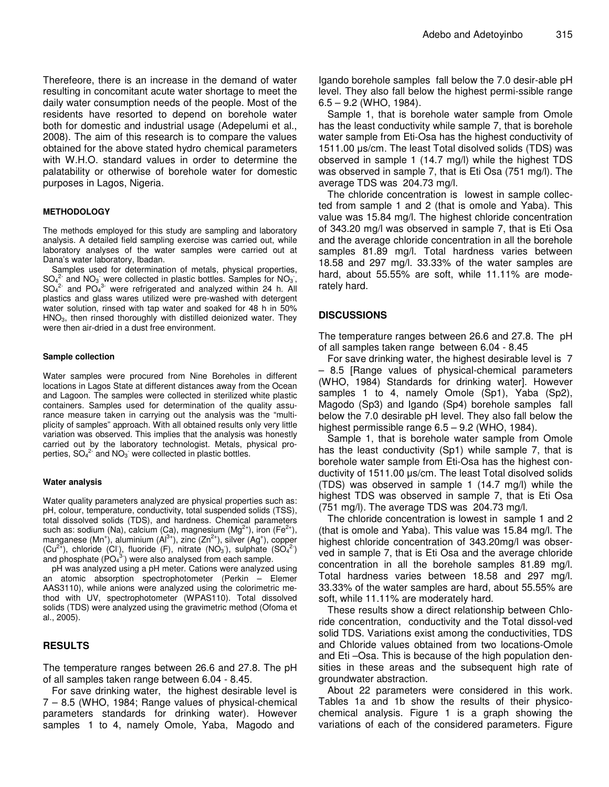Therefeore, there is an increase in the demand of water resulting in concomitant acute water shortage to meet the daily water consumption needs of the people. Most of the residents have resorted to depend on borehole water both for domestic and industrial usage (Adepelumi et al., 2008). The aim of this research is to compare the values obtained for the above stated hydro chemical parameters with W.H.O. standard values in order to determine the palatability or otherwise of borehole water for domestic purposes in Lagos, Nigeria.

### **METHODOLOGY**

The methods employed for this study are sampling and laboratory analysis. A detailed field sampling exercise was carried out, while laboratory analyses of the water samples were carried out at Dana's water laboratory, Ibadan.

Samples used for determination of metals, physical properties,  $SO_4^2$  and  $NO_3$  were collected in plastic bottles. Samples for  $NO_3$ ,  $SO_4^2$  and  $PO_4^3$  were refrigerated and analyzed within 24 h. All plastics and glass wares utilized were pre-washed with detergent water solution, rinsed with tap water and soaked for 48 h in 50%  $HNO<sub>3</sub>$ , then rinsed thoroughly with distilled deionized water. They were then air-dried in a dust free environment.

#### **Sample collection**

Water samples were procured from Nine Boreholes in different locations in Lagos State at different distances away from the Ocean and Lagoon. The samples were collected in sterilized white plastic containers. Samples used for determination of the quality assurance measure taken in carrying out the analysis was the "multiplicity of samples" approach. With all obtained results only very little variation was observed. This implies that the analysis was honestly carried out by the laboratory technologist. Metals, physical properties,  $SO_4^2$  and  $NO_3$  were collected in plastic bottles.

## **Water analysis**

Water quality parameters analyzed are physical properties such as: pH, colour, temperature, conductivity, total suspended solids (TSS), total dissolved solids (TDS), and hardness. Chemical parameters such as: sodium (Na), calcium (Ca), magnesium (Mg<sup>2+</sup>), iron (Fe<sup>2+</sup>), manganese (Mn<sup>+</sup>), aluminium (Al<sup>3+</sup>), zinc (Zn<sup>2+</sup>), silver (Ag<sup>+</sup>), copper  $(Cu^{2+})$ , chloride  $(Cl)$ , fluoride  $(F)$ , nitrate  $(NO_3)$ , sulphate  $(SO_4^2)$ and phosphate  $(PO<sub>4</sub><sup>3</sup>)$  were also analysed from each sample.

pH was analyzed using a pH meter. Cations were analyzed using an atomic absorption spectrophotometer (Perkin – Elemer AAS3110), while anions were analyzed using the colorimetric method with UV, spectrophotometer (WPAS110). Total dissolved solids (TDS) were analyzed using the gravimetric method (Ofoma et al., 2005).

## **RESULTS**

The temperature ranges between 26.6 and 27.8. The pH of all samples taken range between 6.04 - 8.45.

For save drinking water, the highest desirable level is 7 – 8.5 (WHO, 1984; Range values of physical-chemical parameters standards for drinking water). However samples 1 to 4, namely Omole, Yaba, Magodo and

Igando borehole samples fall below the 7.0 desir-able pH level. They also fall below the highest permi-ssible range 6.5 – 9.2 (WHO, 1984).

Sample 1, that is borehole water sample from Omole has the least conductivity while sample 7, that is borehole water sample from Eti-Osa has the highest conductivity of 1511.00  $\mu$ s/cm. The least Total disolved solids (TDS) was observed in sample 1 (14.7 mg/l) while the highest TDS was observed in sample 7, that is Eti Osa (751 mg/l). The average TDS was 204.73 mg/l.

The chloride concentration is lowest in sample collected from sample 1 and 2 (that is omole and Yaba). This value was 15.84 mg/l. The highest chloride concentration of 343.20 mg/l was observed in sample 7, that is Eti Osa and the average chloride concentration in all the borehole samples 81.89 mg/l. Total hardness varies between 18.58 and 297 mg/l. 33.33% of the water samples are hard, about 55.55% are soft, while 11.11% are moderately hard.

## **DISCUSSIONS**

The temperature ranges between 26.6 and 27.8. The pH of all samples taken range between 6.04 - 8.45

For save drinking water, the highest desirable level is 7 – 8.5 [Range values of physical-chemical parameters (WHO, 1984) Standards for drinking water]. However samples 1 to 4, namely Omole (Sp1), Yaba (Sp2), Magodo (Sp3) and Igando (Sp4) borehole samples fall below the 7.0 desirable pH level. They also fall below the highest permissible range 6.5 – 9.2 (WHO, 1984).

Sample 1, that is borehole water sample from Omole has the least conductivity (Sp1) while sample 7, that is borehole water sample from Eti-Osa has the highest conductivity of  $1511.00 \mu s/cm$ . The least Total disolved solids (TDS) was observed in sample 1 (14.7 mg/l) while the highest TDS was observed in sample 7, that is Eti Osa (751 mg/l). The average TDS was 204.73 mg/l.

The chloride concentration is lowest in sample 1 and 2 (that is omole and Yaba). This value was 15.84 mg/l. The highest chloride concentration of 343.20mg/l was observed in sample 7, that is Eti Osa and the average chloride concentration in all the borehole samples 81.89 mg/l. Total hardness varies between 18.58 and 297 mg/l. 33.33% of the water samples are hard, about 55.55% are soft, while 11.11% are moderately hard.

These results show a direct relationship between Chloride concentration, conductivity and the Total dissol-ved solid TDS. Variations exist among the conductivities, TDS and Chloride values obtained from two locations-Omole and Eti –Osa. This is because of the high population densities in these areas and the subsequent high rate of groundwater abstraction.

About 22 parameters were considered in this work. Tables 1a and 1b show the results of their physicochemical analysis. Figure 1 is a graph showing the variations of each of the considered parameters. Figure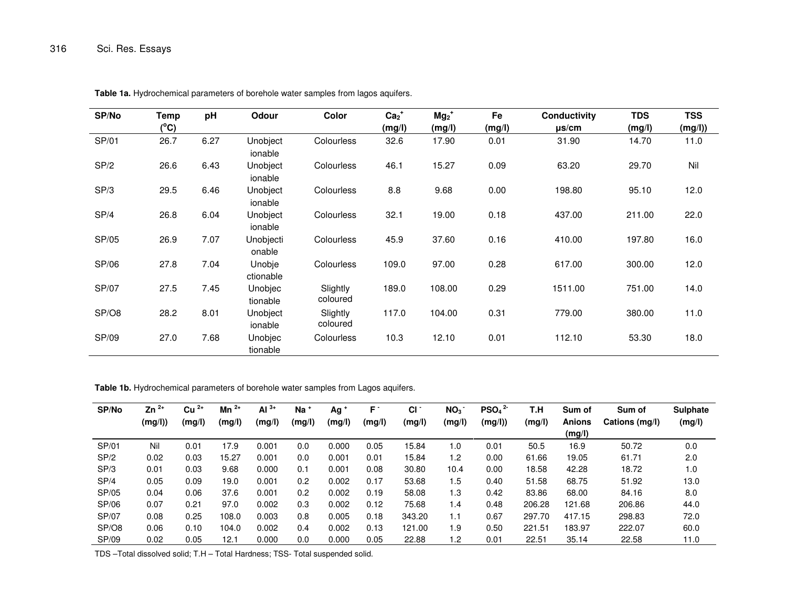| SP/No | Temp | pH   | Odour               | Color                | $Ca2+$ | $Mg_2$ <sup>+</sup> | Fe     | <b>Conductivity</b> | <b>TDS</b> | <b>TSS</b> |
|-------|------|------|---------------------|----------------------|--------|---------------------|--------|---------------------|------------|------------|
|       | (°C) |      |                     |                      | (mg/l) | (mg/l)              | (mg/l) | $\mu$ s/cm          | (mg/l)     | (mg/l))    |
| SP/01 | 26.7 | 6.27 | Unobject<br>ionable | <b>Colourless</b>    | 32.6   | 17.90               | 0.01   | 31.90               | 14.70      | 11.0       |
| SP/2  | 26.6 | 6.43 | Unobject<br>ionable | <b>Colourless</b>    | 46.1   | 15.27               | 0.09   | 63.20               | 29.70      | Nil        |
| SP/3  | 29.5 | 6.46 | Unobject<br>ionable | <b>Colourless</b>    | 8.8    | 9.68                | 0.00   | 198.80              | 95.10      | 12.0       |
| SP/4  | 26.8 | 6.04 | Unobject<br>ionable | <b>Colourless</b>    | 32.1   | 19.00               | 0.18   | 437.00              | 211.00     | 22.0       |
| SP/05 | 26.9 | 7.07 | Unobjecti<br>onable | <b>Colourless</b>    | 45.9   | 37.60               | 0.16   | 410.00              | 197.80     | 16.0       |
| SP/06 | 27.8 | 7.04 | Unobje<br>ctionable | <b>Colourless</b>    | 109.0  | 97.00               | 0.28   | 617.00              | 300.00     | 12.0       |
| SP/07 | 27.5 | 7.45 | Unobjec<br>tionable | Slightly<br>coloured | 189.0  | 108.00              | 0.29   | 1511.00             | 751.00     | 14.0       |
| SP/O8 | 28.2 | 8.01 | Unobject<br>ionable | Slightly<br>coloured | 117.0  | 104.00              | 0.31   | 779.00              | 380.00     | 11.0       |
| SP/09 | 27.0 | 7.68 | Unobjec<br>tionable | <b>Colourless</b>    | 10.3   | 12.10               | 0.01   | 112.10              | 53.30      | 18.0       |

**Table 1a.** Hydrochemical parameters of borehole water samples from lagos aquifers.

**Table 1b.** Hydrochemical parameters of borehole water samples from Lagos aquifers.

| SP/No        | $^{2+}$<br>Zn | $2+$<br>Cu | $2+$<br>Mn | Al $3+$ | $Na+$  | Ag <sup>+</sup> | F.     | CI.    | NO <sub>3</sub> | PSO <sub>4</sub> | T.H    | Sum of        | Sum of         | <b>Sulphate</b> |
|--------------|---------------|------------|------------|---------|--------|-----------------|--------|--------|-----------------|------------------|--------|---------------|----------------|-----------------|
|              | (mg/l))       | (mg/l)     | (mg/l)     | (mg/l)  | (mg/l) | (mg/l)          | (mg/l) | (mg/l) | (mg/l)          | (mg/l)           | (mg/l) | <b>Anions</b> | Cations (mg/l) | (mg/l)          |
|              |               |            |            |         |        |                 |        |        |                 |                  |        | (mg/l)        |                |                 |
| SP/01        | Nil           | 0.01       | 17.9       | 0.001   | 0.0    | 0.000           | 0.05   | 15.84  | 1.0             | 0.01             | 50.5   | 16.9          | 50.72          | 0.0             |
| SP/2         | 0.02          | 0.03       | 15.27      | 0.001   | 0.0    | 0.001           | 0.01   | 15.84  | 1.2             | 0.00             | 61.66  | 19.05         | 61.71          | 2.0             |
| SP/3         | 0.01          | 0.03       | 9.68       | 0.000   | 0.1    | 0.001           | 0.08   | 30.80  | 10.4            | 0.00             | 18.58  | 42.28         | 18.72          | 1.0             |
| SP/4         | 0.05          | 0.09       | 19.0       | 0.001   | 0.2    | 0.002           | 0.17   | 53.68  | 1.5             | 0.40             | 51.58  | 68.75         | 51.92          | 13.0            |
| SP/05        | 0.04          | 0.06       | 37.6       | 0.001   | 0.2    | 0.002           | 0.19   | 58.08  | 1.3             | 0.42             | 83.86  | 68.00         | 84.16          | 8.0             |
| SP/06        | 0.07          | 0.21       | 97.0       | 0.002   | 0.3    | 0.002           | 0.12   | 75.68  | 1.4             | 0.48             | 206.28 | 121.68        | 206.86         | 44.0            |
| <b>SP/07</b> | 0.08          | 0.25       | 108.0      | 0.003   | 0.8    | 0.005           | 0.18   | 343.20 | 1.1             | 0.67             | 297.70 | 417.15        | 298.83         | 72.0            |
| SP/O8        | 0.06          | 0.10       | 104.0      | 0.002   | 0.4    | 0.002           | 0.13   | 121.00 | 1.9             | 0.50             | 221.51 | 183.97        | 222.07         | 60.0            |
| SP/09        | 0.02          | 0.05       | 12.1       | 0.000   | 0.0    | 0.000           | 0.05   | 22.88  | 1.2             | 0.01             | 22.51  | 35.14         | 22.58          | 11.0            |

TDS –Total dissolved solid; T.H – Total Hardness; TSS- Total suspended solid.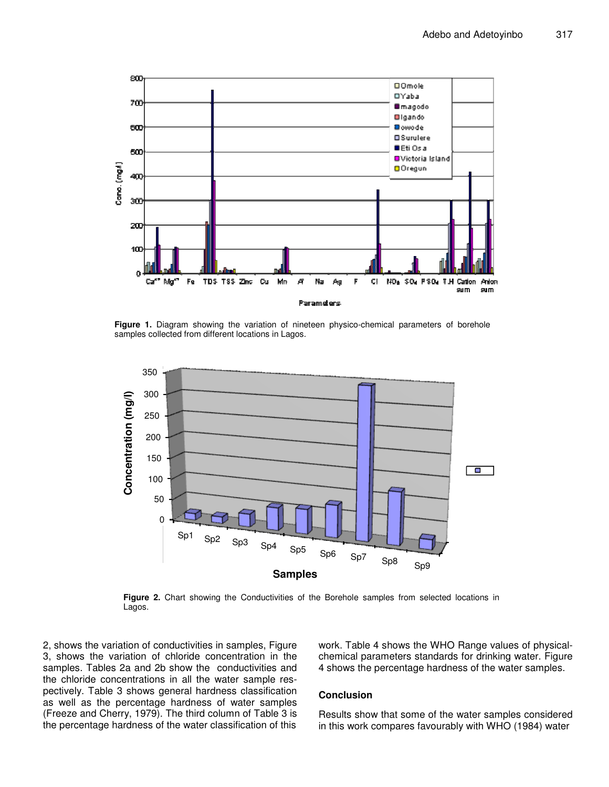

**Figure 1.** Diagram showing the variation of nineteen physico-chemical parameters of borehole samples collected from different locations in Lagos.



**Figure 2.** Chart showing the Conductivities of the Borehole samples from selected locations in Lagos.

2, shows the variation of conductivities in samples, Figure 3, shows the variation of chloride concentration in the samples. Tables 2a and 2b show the conductivities and the chloride concentrations in all the water sample respectively. Table 3 shows general hardness classification as well as the percentage hardness of water samples (Freeze and Cherry, 1979). The third column of Table 3 is the percentage hardness of the water classification of this

work. Table 4 shows the WHO Range values of physicalchemical parameters standards for drinking water. Figure 4 shows the percentage hardness of the water samples.

## **Conclusion**

Results show that some of the water samples considered in this work compares favourably with WHO (1984) water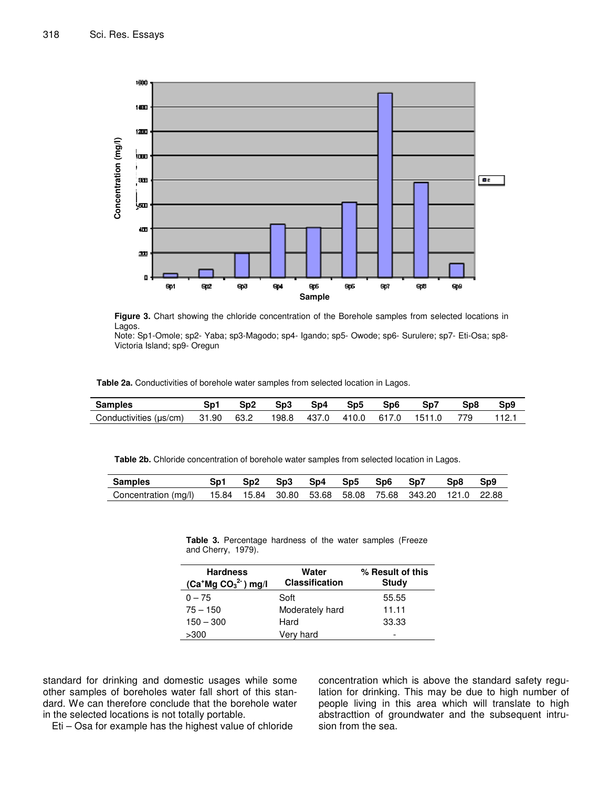

**Figure 3.** Chart showing the chloride concentration of the Borehole samples from selected locations in Lagos.

Note: Sp1-Omole; sp2- Yaba; sp3-Magodo; sp4- Igando; sp5- Owode; sp6- Surulere; sp7- Eti-Osa; sp8- Victoria Island; sp9- Oregun

**Table 2a.** Conductivities of borehole water samples from selected location in Lagos.

| Samples                |       |      | Sp3   | Sp4   | Sp5   | Sp6   | Sp7    | Sp8  | Sp9 |
|------------------------|-------|------|-------|-------|-------|-------|--------|------|-----|
| Conductivities (µs/cm) | 31.90 | 63.2 | 198.8 | 437.0 | 410.0 | 617.0 | 1511.0 | 779. |     |

**Table 2b.** Chloride concentration of borehole water samples from selected location in Lagos.

| <b>Samples</b>       |  | Sn3 | Sp <sub>4</sub> | Sp <sub>5</sub> | Sp <sub>6</sub> | Sp7                                                            | Sp8 | Sp9 |
|----------------------|--|-----|-----------------|-----------------|-----------------|----------------------------------------------------------------|-----|-----|
| Concentration (mg/l) |  |     |                 |                 |                 | 15.84  15.84  30.80  53.68  58.08  75.68  343.20  121.0  22.88 |     |     |

**Table 3.** Percentage hardness of the water samples (Freeze and Cherry, 1979).

| <b>Hardness</b><br>$(Ca^+Mg CO32)$ mg/l | Water<br><b>Classification</b> | % Result of this<br>Study |
|-----------------------------------------|--------------------------------|---------------------------|
| $0 - 75$                                | Soft                           | 55.55                     |
| $75 - 150$                              | Moderately hard                | 11.11                     |
| $150 - 300$                             | Hard                           | 33.33                     |
| >300                                    | Very hard                      | -                         |

standard for drinking and domestic usages while some other samples of boreholes water fall short of this standard. We can therefore conclude that the borehole water in the selected locations is not totally portable.

Eti – Osa for example has the highest value of chloride

concentration which is above the standard safety regulation for drinking. This may be due to high number of people living in this area which will translate to high abstracttion of groundwater and the subsequent intrusion from the sea.